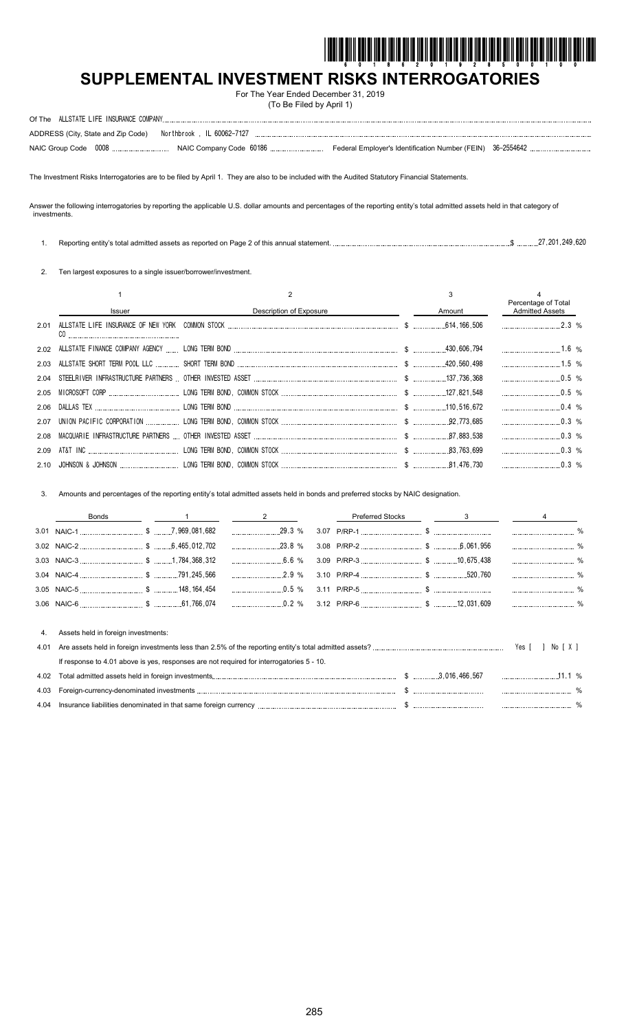

# **SUPPLEMENTAL INVESTMENT RISKS INTERROGATORIES**

For The Year Ended December 31, 2019 (To Be Filed by April 1)

| ADDRESS (City, State and Zip Code) Northbrook, IL 60062-7127 |  |  |
|--------------------------------------------------------------|--|--|
|                                                              |  |  |

The Investment Risks Interrogatories are to be filed by April 1. They are also to be included with the Audited Statutory Financial Statements.

Answer the following interrogatories by reporting the applicable U.S. dollar amounts and percentages of the reporting entity's total admitted assets held in that category of investments.

| Reporting entity's total admitted assets as reported on Page 2 of this annual statement. |  |  | 27.201.249.620 |  |
|------------------------------------------------------------------------------------------|--|--|----------------|--|
|                                                                                          |  |  |                |  |

2. Ten largest exposures to a single issuer/borrower/investment.

|      |               |                         |        | Percentage of Total    |  |
|------|---------------|-------------------------|--------|------------------------|--|
|      | <b>Issuer</b> | Description of Exposure | Amount | <b>Admitted Assets</b> |  |
| 2.01 |               |                         |        |                        |  |
|      |               |                         |        | $1.6\%$                |  |
|      |               |                         |        |                        |  |
|      |               |                         |        | $\ldots$ 0.5 %         |  |
|      |               |                         |        | $0.5\%$                |  |
|      |               |                         |        | $\ldots$ 0.4 %         |  |
|      |               |                         |        | $\ldots$ 0.3 %         |  |
|      |               |                         |        | $0.3\%$                |  |
| 2.09 |               |                         |        | $0.3\%$                |  |
|      |               |                         |        | $0.3\%$                |  |

3. Amounts and percentages of the reporting entity's total admitted assets held in bonds and preferred stocks by NAIC designation.

|      | Bonds                                                                                    | $\overline{\mathbf{c}}$ | <b>Preferred Stocks</b> | $-$ <sup>3</sup> |          |        |               |
|------|------------------------------------------------------------------------------------------|-------------------------|-------------------------|------------------|----------|--------|---------------|
|      |                                                                                          |                         |                         |                  |          |        | $\frac{0}{0}$ |
|      |                                                                                          | $\ldots$ 23.8 %         |                         |                  |          |        |               |
|      |                                                                                          | $6.6\%$                 |                         |                  |          |        | $\frac{0}{0}$ |
|      |                                                                                          |                         |                         |                  |          |        |               |
|      |                                                                                          |                         |                         |                  |          |        |               |
|      |                                                                                          |                         |                         |                  |          |        |               |
|      |                                                                                          |                         |                         |                  |          |        |               |
| 4.   | Assets held in foreign investments:                                                      |                         |                         |                  |          |        |               |
| 4.01 |                                                                                          |                         |                         |                  | Yes [    | No [X] |               |
|      | If response to 4.01 above is yes, responses are not required for interrogatories 5 - 10. |                         |                         |                  |          |        |               |
| 4.02 |                                                                                          |                         |                         |                  | $11.1\%$ |        |               |
| 4.03 |                                                                                          |                         |                         |                  |          |        |               |
|      |                                                                                          |                         |                         |                  |          |        |               |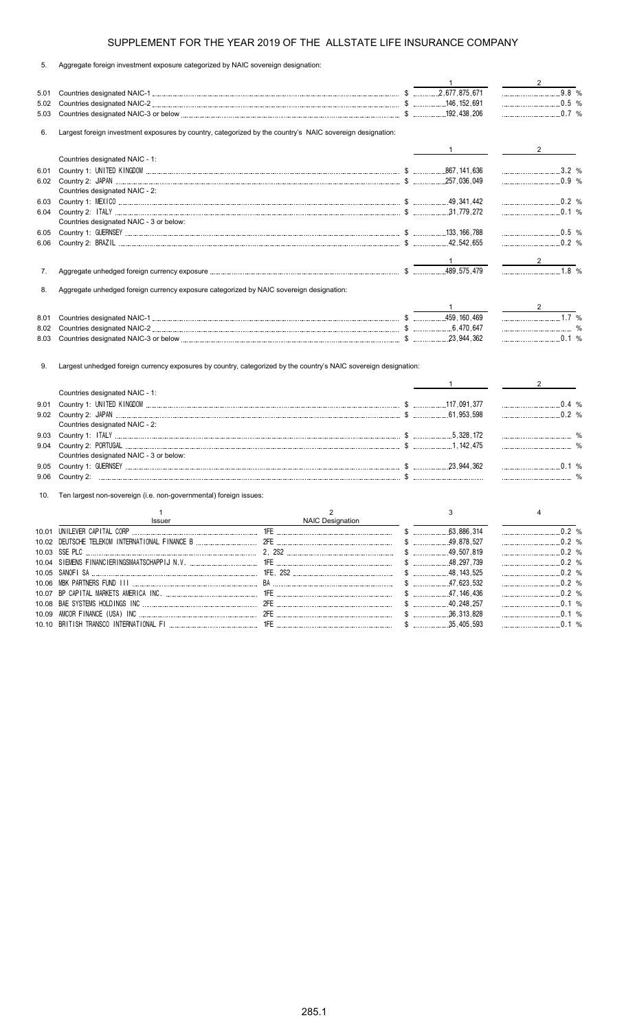|    | Aggregate foreign investment exposure categorized by NAIC sovereign designation: |  |  |  |
|----|----------------------------------------------------------------------------------|--|--|--|
| 5. |                                                                                  |  |  |  |
|    |                                                                                  |  |  |  |

|              |                                                                                                                  |                              | $1 \quad$              | $\overline{2}$     |
|--------------|------------------------------------------------------------------------------------------------------------------|------------------------------|------------------------|--------------------|
| 5.01         |                                                                                                                  |                              |                        | $9.8 %$            |
| 5.02         |                                                                                                                  |                              |                        | $\ldots$ 0.5 %     |
| 5.03         |                                                                                                                  |                              |                        | $0.7\%$            |
| 6.           | Largest foreign investment exposures by country, categorized by the country's NAIC sovereign designation:        |                              |                        |                    |
|              |                                                                                                                  |                              | $1 \quad \blacksquare$ | $\overline{2}$     |
|              | Countries designated NAIC - 1:                                                                                   |                              |                        |                    |
| 6.01         |                                                                                                                  |                              |                        | 3.2 %              |
|              |                                                                                                                  |                              |                        |                    |
|              | Countries designated NAIC - 2:                                                                                   |                              |                        |                    |
| 6.03         |                                                                                                                  |                              |                        |                    |
| 6.04         |                                                                                                                  |                              |                        | $0.1\%$            |
|              | Countries designated NAIC - 3 or below:                                                                          |                              |                        |                    |
| 6.05         |                                                                                                                  |                              |                        | $\ldots$ 0.5 %     |
| 6.06         |                                                                                                                  |                              |                        | $\ldots$ 0.2 %     |
|              |                                                                                                                  |                              |                        |                    |
|              |                                                                                                                  |                              |                        |                    |
| 7.           |                                                                                                                  |                              |                        |                    |
| 8.           | Aggregate unhedged foreign currency exposure categorized by NAIC sovereign designation:                          |                              |                        |                    |
|              |                                                                                                                  |                              |                        |                    |
| 8.01         |                                                                                                                  |                              |                        | $\ldots$           |
| 8.02         |                                                                                                                  |                              |                        |                    |
| 8.03         |                                                                                                                  |                              |                        | $\ldots$ 0.1 %     |
| 9.           | Largest unhedged foreign currency exposures by country, categorized by the country's NAIC sovereign designation: |                              |                        |                    |
|              | Countries designated NAIC - 1:                                                                                   |                              | $1 \quad \blacksquare$ | $2^{\circ}$        |
| 9.01         |                                                                                                                  |                              |                        | 0.4 %              |
|              |                                                                                                                  |                              |                        |                    |
|              | Countries designated NAIC - 2:                                                                                   |                              |                        |                    |
|              |                                                                                                                  |                              |                        |                    |
| 9.03<br>9.04 |                                                                                                                  |                              |                        |                    |
|              | Countries designated NAIC - 3 or below:                                                                          |                              |                        |                    |
|              |                                                                                                                  |                              |                        |                    |
| 9.05         |                                                                                                                  |                              |                        |                    |
|              |                                                                                                                  |                              |                        | $\ldots$ 0.1 %     |
| 9.06         |                                                                                                                  |                              |                        |                    |
| 10.          | Ten largest non-sovereign (i.e. non-governmental) foreign issues:                                                |                              |                        |                    |
|              | $\mathbf{1}$<br>Issuer                                                                                           | $\overline{2}$               | 3                      | 4                  |
|              |                                                                                                                  | NAIC Designation <b>NAIC</b> |                        |                    |
|              | 10.02 DEUTSCHE TELEKOM INTERNATIONAL FINANCE B                                                                   |                              |                        | $0.2 %$<br>$0.2$ % |
|              |                                                                                                                  |                              |                        |                    |
|              |                                                                                                                  |                              |                        | .0.2%              |
|              |                                                                                                                  |                              |                        | 0.2 %              |
|              |                                                                                                                  |                              |                        |                    |
| 10.06        |                                                                                                                  |                              |                        | $0.2\%$            |
| 10.07        |                                                                                                                  |                              |                        |                    |
| 10.08        |                                                                                                                  |                              |                        |                    |
|              |                                                                                                                  |                              | $$$ 35,405,593         |                    |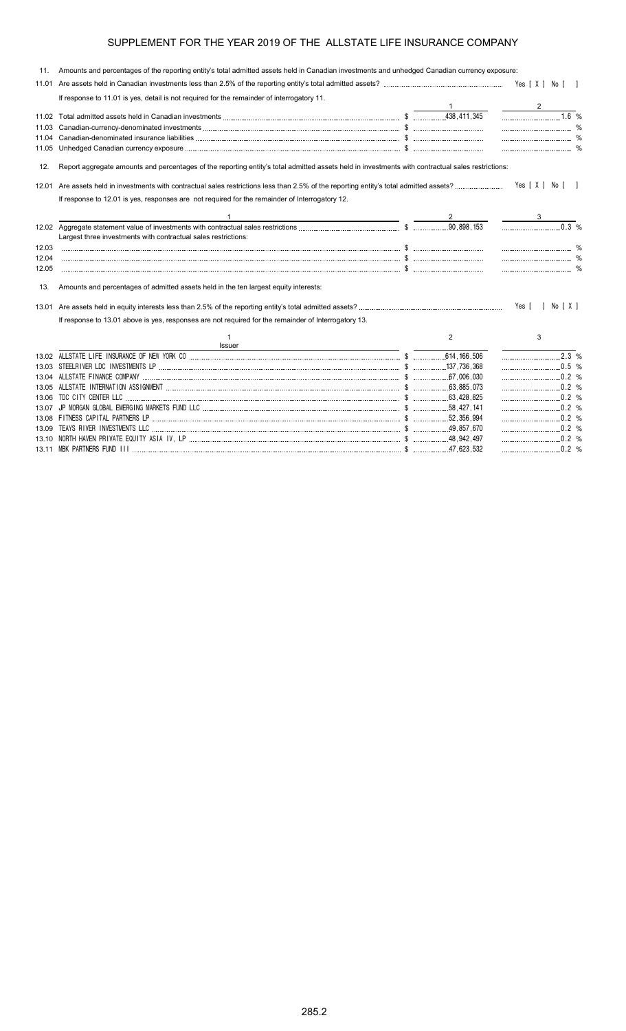| 11.   | Amounts and percentages of the reporting entity's total admitted assets held in Canadian investments and unhedged Canadian currency exposure:     |   |                  |
|-------|---------------------------------------------------------------------------------------------------------------------------------------------------|---|------------------|
| 11.01 |                                                                                                                                                   |   |                  |
|       | If response to 11.01 is yes, detail is not required for the remainder of interrogatory 11.                                                        |   |                  |
|       |                                                                                                                                                   |   |                  |
|       |                                                                                                                                                   |   | 1.6 %            |
| 11.03 |                                                                                                                                                   |   |                  |
| 11.04 |                                                                                                                                                   |   |                  |
|       |                                                                                                                                                   |   |                  |
| 12.   | Report aggregate amounts and percentages of the reporting entity's total admitted assets held in investments with contractual sales restrictions: |   |                  |
|       |                                                                                                                                                   |   | Yes [ X ] No [ ] |
|       | If response to 12.01 is yes, responses are not required for the remainder of Interrogatory 12.                                                    |   |                  |
|       |                                                                                                                                                   |   |                  |
|       | Largest three investments with contractual sales restrictions:                                                                                    |   | 0.3 %            |
| 12.03 |                                                                                                                                                   |   |                  |
| 12.04 |                                                                                                                                                   |   |                  |
| 12.05 |                                                                                                                                                   |   |                  |
| 13.   | Amounts and percentages of admitted assets held in the ten largest equity interests:                                                              |   |                  |
|       |                                                                                                                                                   |   | Yes [ ] No [ X ] |
|       | If response to 13.01 above is yes, responses are not required for the remainder of Interrogatory 13.                                              |   |                  |
|       | 1<br><b>Issuer</b>                                                                                                                                | 2 | 3                |
|       |                                                                                                                                                   |   |                  |
|       |                                                                                                                                                   |   |                  |
|       |                                                                                                                                                   |   | 0.2 %            |
|       |                                                                                                                                                   |   |                  |
| 13.06 |                                                                                                                                                   |   |                  |
|       |                                                                                                                                                   |   | $0.2\%$          |
|       |                                                                                                                                                   |   |                  |
| 13.09 |                                                                                                                                                   |   | $\ldots$ 0.2 %   |
|       |                                                                                                                                                   |   |                  |

13.11 MBK PARTNERS FUND III \$ 47,623,532 0.2 %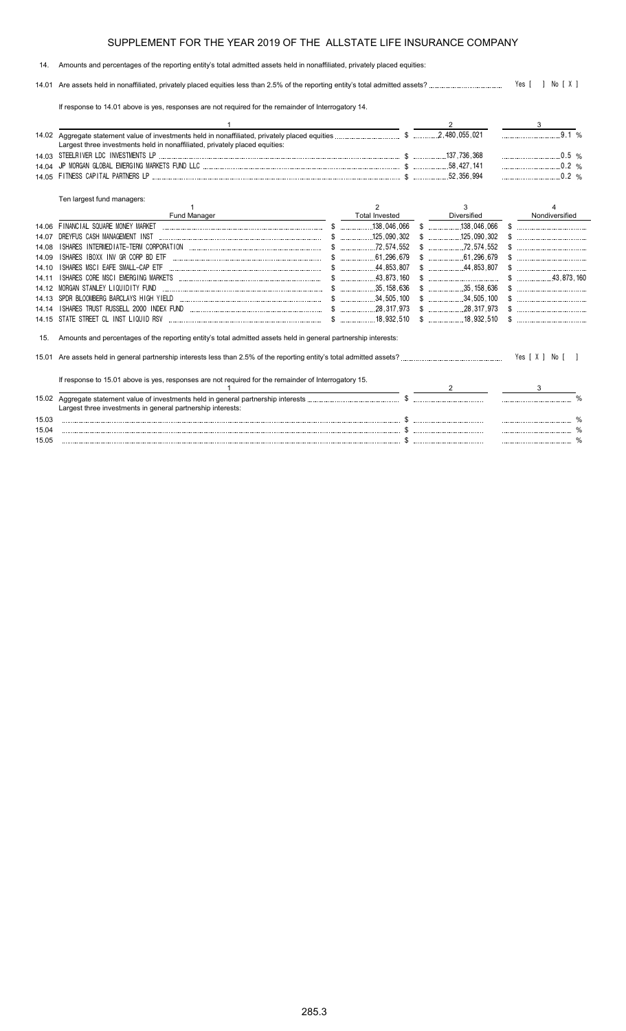#### 14. Amounts and percentages of the reporting entity's total admitted assets held in nonaffiliated, privately placed equities:

14.01 Are assets held in nonaffiliated, privately placed equities less than 2.5% of the reporting entity's total admitted assets? Yes [ ] No [ X ]

If response to 14.01 above is yes, responses are not required for the remainder of Interrogatory 14.

|       | Largest three investments held in nonaffiliated, privately placed equities:                                    |                       |                        |                | 9.1%           |  |
|-------|----------------------------------------------------------------------------------------------------------------|-----------------------|------------------------|----------------|----------------|--|
|       |                                                                                                                |                       |                        |                |                |  |
| 14 04 |                                                                                                                |                       |                        | $\ldots$ 0.2 % |                |  |
| 14.05 |                                                                                                                |                       | .52.356.994            |                | 0.2 %          |  |
|       | Ten largest fund managers:                                                                                     |                       |                        |                |                |  |
|       |                                                                                                                | 2                     | 3                      |                |                |  |
|       | Fund Manager                                                                                                   | <b>Total Invested</b> | Diversified            |                | Nondiversified |  |
| 14.06 | FINANCIAL SQUARE MONEY MARKET                                                                                  |                       |                        |                |                |  |
| 14 07 | DREYFUS CASH MANAGEMENT INST                                                                                   |                       |                        |                |                |  |
| 14 08 | ISHARES IBOXX INV GR CORP BD ETF                                                                               |                       |                        |                |                |  |
| 14 09 | ISHARES MSCI EAFE SMALL-CAP ETF                                                                                | 61,296,679            | .61,296,679            |                |                |  |
| 14.10 |                                                                                                                |                       |                        | $$$ 43.873.160 |                |  |
| 14 11 |                                                                                                                |                       |                        |                |                |  |
| 14.12 | MORGAN STANLEY LIQUIDITY FUND                                                                                  |                       |                        |                |                |  |
| 14.13 |                                                                                                                |                       |                        |                |                |  |
| 14 14 |                                                                                                                |                       |                        |                |                |  |
| 14 15 |                                                                                                                |                       | $\frac{18.932.510}{2}$ | $\mathbb{S}$   |                |  |
| 15.   | Amounts and percentages of the reporting entity's total admitted assets held in general partnership interests: |                       |                        |                |                |  |
|       |                                                                                                                |                       |                        |                |                |  |
|       | If response to 15.01 above is yes, responses are not required for the remainder of Interrogatory 15.           |                       |                        |                |                |  |
|       |                                                                                                                |                       |                        | 3              |                |  |
| 15.02 |                                                                                                                |                       |                        |                |                |  |
|       | Largest three investments in general partnership interests:                                                    |                       |                        |                |                |  |
| 15.03 |                                                                                                                |                       |                        |                |                |  |
| 15.04 |                                                                                                                |                       |                        |                |                |  |
| 15.05 |                                                                                                                |                       |                        |                |                |  |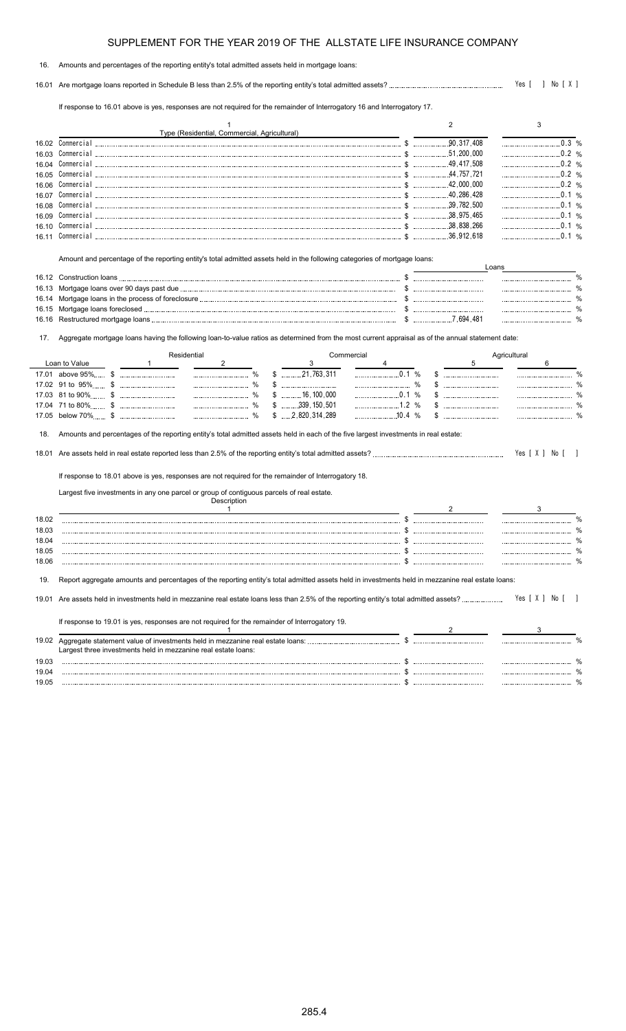#### 16. Amounts and percentages of the reporting entity's total admitted assets held in mortgage loans:

16.01 Are mortgage loans reported in Schedule B less than 2.5% of the reporting entity's total admitted assets? Yes [ ] No [ X ]

If response to 16.01 above is yes, responses are not required for the remainder of Interrogatory 16 and Interrogatory 17.

|       | Type (Residential, Commercial, Agricultural) |             |  |
|-------|----------------------------------------------|-------------|--|
| 16.02 |                                              | 90 317 408  |  |
| 16.03 | Commercial                                   | .51.200.000 |  |
| 16.04 | Commercial                                   | 49.417.508  |  |
| 16.05 | Commercial                                   | 757 721     |  |
| 16.06 | Commercial                                   | 42.000.000  |  |
| 16.07 | Commercial                                   | 40.286.428  |  |
| 16.08 |                                              | 39 782 500  |  |
| 16 N. |                                              | 38 975 465  |  |
|       |                                              | 38.838.266  |  |
| 16 11 |                                              | 36 912 618  |  |

Amount and percentage of the reporting entity's total admitted assets held in the following categories of mortgage loans:

| 16.12 Construction loans |           |  |
|--------------------------|-----------|--|
|                          |           |  |
|                          |           |  |
|                          |           |  |
|                          | 7.694.481 |  |

17. Aggregate mortgage loans having the following loan-to-value ratios as determined from the most current appraisal as of the annual statement date:

|                |                    | Residential                                                                                                                                       |               |     |                         | Commercial       |       |  | Agricultural |                |  |
|----------------|--------------------|---------------------------------------------------------------------------------------------------------------------------------------------------|---------------|-----|-------------------------|------------------|-------|--|--------------|----------------|--|
|                | Loan to Value      |                                                                                                                                                   | 2             |     | 3                       |                  |       |  |              | 6              |  |
|                | 17.01 above 95% \$ |                                                                                                                                                   |               |     | 21,763,311              |                  | 0.1 % |  |              |                |  |
|                |                    |                                                                                                                                                   |               | \$. |                         |                  | %     |  |              |                |  |
|                |                    |                                                                                                                                                   | $\frac{0}{0}$ |     | $\ldots$ 16, 100, 000   |                  | 0.1%  |  |              |                |  |
|                |                    |                                                                                                                                                   |               | \$. | 339, 150, 501           |                  |       |  |              |                |  |
|                |                    |                                                                                                                                                   |               |     | $$ \dots 2,820,314,289$ | $\frac{10.4}{8}$ |       |  |              |                |  |
| 18.            |                    | Amounts and percentages of the reporting entity's total admitted assets held in each of the five largest investments in real estate:              |               |     |                         |                  |       |  |              |                |  |
|                |                    |                                                                                                                                                   |               |     |                         |                  |       |  |              | Yes [ X ] No [ |  |
|                |                    | If response to 18.01 above is yes, responses are not required for the remainder of Interrogatory 18.                                              |               |     |                         |                  |       |  |              |                |  |
|                |                    | Largest five investments in any one parcel or group of contiguous parcels of real estate.                                                         | Description   |     |                         |                  |       |  |              |                |  |
|                |                    |                                                                                                                                                   |               |     |                         |                  |       |  |              |                |  |
| 18.02          |                    |                                                                                                                                                   |               |     |                         |                  |       |  |              |                |  |
| 18.03<br>18.04 |                    |                                                                                                                                                   |               |     |                         |                  |       |  |              |                |  |
| 18.05          |                    |                                                                                                                                                   |               |     |                         |                  |       |  |              |                |  |
| 18.06          |                    |                                                                                                                                                   |               |     |                         |                  |       |  |              |                |  |
|                |                    |                                                                                                                                                   |               |     |                         |                  |       |  |              |                |  |
| 19.            |                    | Report aggregate amounts and percentages of the reporting entity's total admitted assets held in investments held in mezzanine real estate loans: |               |     |                         |                  |       |  |              |                |  |
| 19.01          |                    |                                                                                                                                                   |               |     |                         |                  |       |  |              | Yes [ X ] No   |  |
|                |                    | If response to 19.01 is yes, responses are not required for the remainder of Interrogatory 19.                                                    |               |     |                         |                  |       |  |              |                |  |
|                |                    |                                                                                                                                                   |               |     |                         |                  |       |  |              |                |  |
|                |                    |                                                                                                                                                   |               |     |                         |                  |       |  |              |                |  |
|                |                    | Largest three investments held in mezzanine real estate loans:                                                                                    |               |     |                         |                  |       |  |              |                |  |
| 19.03          |                    |                                                                                                                                                   |               |     |                         |                  |       |  |              |                |  |
| 19.04          |                    |                                                                                                                                                   |               |     |                         |                  |       |  |              |                |  |

19.05 \$ %